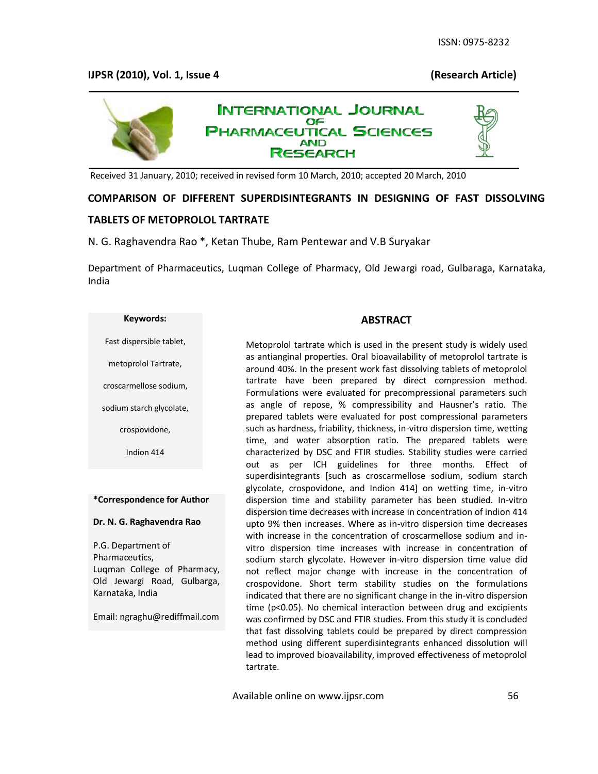# **IJPSR (2010), Vol. 1, Issue 4 (Research Article)**



Received 31 January, 2010; received in revised form 10 March, 2010; accepted 20 March, 2010

## **COMPARISON OF DIFFERENT SUPERDISINTEGRANTS IN DESIGNING OF FAST DISSOLVING**

## **TABLETS OF METOPROLOL TARTRATE**

## N. G. Raghavendra Rao \*, Ketan Thube, Ram Pentewar and V.B Suryakar

Department of Pharmaceutics, Luqman College of Pharmacy, Old Jewargi road, Gulbaraga, Karnataka, India

### **Keywords:**

#### Fast dispersible tablet,

metoprolol Tartrate,

croscarmellose sodium,

sodium starch glycolate,

crospovidone,

Indion 414

#### **\*Correspondence for Author**

#### **Dr. N. G. Raghavendra Rao**

P.G. Department of Pharmaceutics, Luqman College of Pharmacy, Old Jewargi Road, Gulbarga, Karnataka, India

Email: ngraghu@rediffmail.com

#### **ABSTRACT**

Metoprolol tartrate which is used in the present study is widely used as antianginal properties. Oral bioavailability of metoprolol tartrate is around 40%. In the present work fast dissolving tablets of metoprolol tartrate have been prepared by direct compression method. Formulations were evaluated for precompressional parameters such as angle of repose, % compressibility and Hausner's ratio. The prepared tablets were evaluated for post compressional parameters such as hardness, friability, thickness, in-vitro dispersion time, wetting time, and water absorption ratio. The prepared tablets were characterized by DSC and FTIR studies. Stability studies were carried out as per ICH guidelines for three months. Effect of superdisintegrants [such as croscarmellose sodium, sodium starch glycolate, crospovidone, and Indion 414] on wetting time, in-vitro dispersion time and stability parameter has been studied. In-vitro dispersion time decreases with increase in concentration of indion 414 upto 9% then increases. Where as in-vitro dispersion time decreases with increase in the concentration of croscarmellose sodium and invitro dispersion time increases with increase in concentration of sodium starch glycolate. However in-vitro dispersion time value did not reflect major change with increase in the concentration of crospovidone. Short term stability studies on the formulations indicated that there are no significant change in the in-vitro dispersion time (p<0.05). No chemical interaction between drug and excipients was confirmed by DSC and FTIR studies. From this study it is concluded that fast dissolving tablets could be prepared by direct compression method using different superdisintegrants enhanced dissolution will lead to improved bioavailability, improved effectiveness of metoprolol tartrate.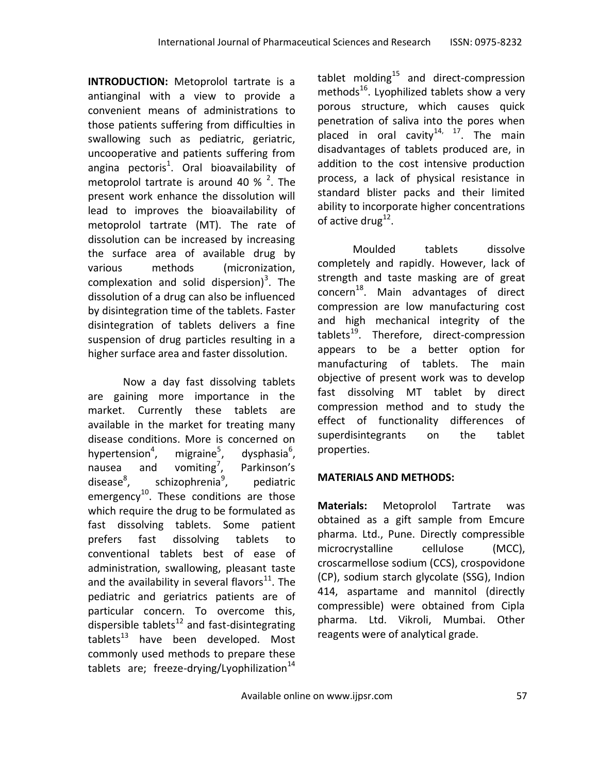**INTRODUCTION:** Metoprolol tartrate is a antianginal with a view to provide a convenient means of administrations to those patients suffering from difficulties in swallowing such as pediatric, geriatric, uncooperative and patients suffering from angina pectoris<sup>1</sup>. Oral bioavailability of metoprolol tartrate is around 40 %  $^{2}$ . The present work enhance the dissolution will lead to improves the bioavailability of metoprolol tartrate (MT). The rate of dissolution can be increased by increasing the surface area of available drug by various methods (micronization, complexation and solid dispersion)<sup>[3](http://www.ijpsonline.com/article.asp?issn=0250-474X;year=2008;volume=70;issue=2;spage=180;epage=185;aulast=Setty#ref4#ref4)</sup>. The dissolution of a drug can also be influenced by disintegration time of the tablets. Faster disintegration of tablets delivers a fine suspension of drug particles resulting in a higher surface area and faster dissolution.

Now a day fast dissolving tablets are gaining more importance in the market. Currently these tablets are available in the market for treating many disease conditions. More is concerned on hypertension<sup>4</sup>, migraine $<sup>5</sup>$ ,</sup> , dysphasia<sup>6</sup>, nausea and vomiting<sup>7</sup>, , Parkinson's disease<sup>8</sup>. schizophrenia<sup>9</sup>, , pediatric emergency<sup>10</sup>. These conditions are those which require the drug to be formulated as fast dissolving tablets. Some patient prefers fast dissolving tablets to conventional tablets best of ease of administration, swallowing, pleasant taste and the availability in several flavors $^{11}$ . The pediatric and geriatrics patients are of particular concern. To overcome this, dispersible tablets $12$  and fast-disintegrating tablets $^{13}$  have been developed. Most commonly used methods to prepare these tablets are; freeze-drying/Lyophilization $^{14}$ 

tablet molding $^{15}$  and direct-compression methods<sup>16</sup>. Lyophilized tablets show a very porous structure, which causes quick penetration of saliva into the pores when placed in oral cavity<sup>14, 17</sup>. The main disadvantages of tablets produced are, in addition to the cost intensive production process, a lack of physical resistance in standard blister packs and their limited ability to incorporate higher concentrations of active drug<sup>12</sup>.

Moulded tablets dissolve completely and rapidly. However, lack of strength and taste masking are of great concern<sup>18</sup>. Main advantages of direct compression are low manufacturing cost and high mechanical integrity of the tablets $^{19}$ . Therefore, direct-compression appears to be a better option for manufacturing of tablets. The main objective of present work was to develop fast dissolving MT tablet by direct compression method and to study the effect of functionality differences of superdisintegrants on the tablet properties.

# **MATERIALS AND METHODS:**

**Materials:** Metoprolol Tartrate was obtained as a gift sample from Emcure pharma. Ltd., Pune. Directly compressible microcrystalline cellulose (MCC), croscarmellose sodium (CCS), crospovidone (CP), sodium starch glycolate (SSG), Indion 414, aspartame and mannitol (directly compressible) were obtained from Cipla pharma. Ltd. Vikroli, Mumbai. Other reagents were of analytical grade.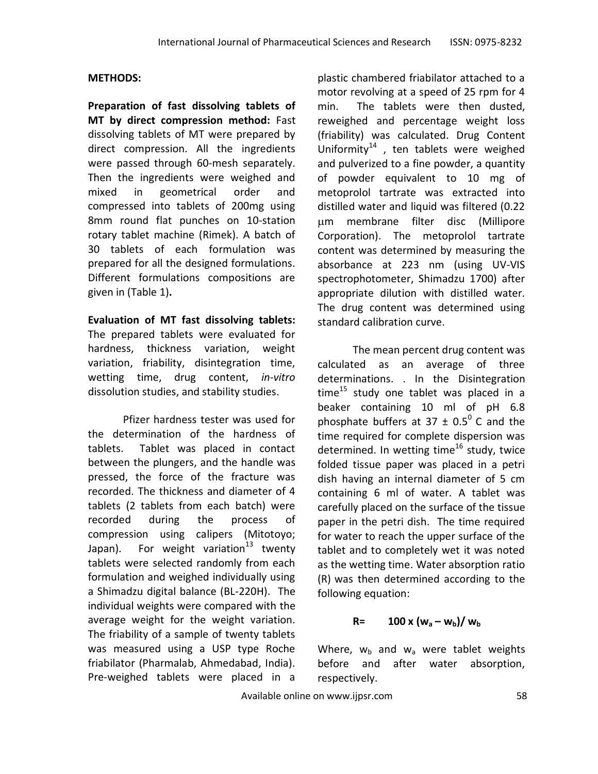# **METHODS:**

**Preparation of fast dissolving tablets of MT by direct compression method:** Fast dissolving tablets of MT were prepared by direct compression. All the ingredients were passed through 60-mesh separately. Then the ingredients were weighed and mixed in geometrical order and compressed into tablets of 200mg using 8mm round flat punches on 10-station rotary tablet machine (Rimek). A batch of 30 tablets of each formulation was prepared for all the designed formulations. Different formulations compositions are given in (Table 1)**.**

**Evaluation of MT fast dissolving tablets:**  The prepared tablets were evaluated for hardness, thickness variation, weight variation, friability, disintegration time, wetting time, drug content, *in-vitro* dissolution studies, and stability studies.

Pfizer hardness tester was used for the determination of the hardness of tablets. Tablet was placed in contact between the plungers, and the handle was pressed, the force of the fracture was recorded. The thickness and diameter of 4 tablets (2 tablets from each batch) were recorded during the process of compression using calipers (Mitotoyo; Japan). For weight variation<sup>13</sup> twenty tablets were selected randomly from each formulation and weighed individually using a Shimadzu digital balance (BL-220H). The individual weights were compared with the average weight for the weight variation. The friability of a sample of twenty tablets was measured using a USP type Roche friabilator (Pharmalab, Ahmedabad, India). Pre-weighed tablets were placed in a

plastic chambered friabilator attached to a motor revolving at a speed of 25 rpm for 4 min. The tablets were then dusted, reweighed and percentage weight loss (friability) was calculated. Drug Content Uniformity $^{14}$  , ten tablets were weighed and pulverized to a fine powder, a quantity of powder equivalent to 10 mg of metoprolol tartrate was extracted into distilled water and liquid was filtered (0.22 m membrane filter disc (Millipore Corporation). The metoprolol tartrate content was determined by measuring the absorbance at 223 nm (using UV-VIS spectrophotometer, Shimadzu 1700) after appropriate dilution with distilled water. The drug content was determined using standard calibration curve.

The mean percent drug content was calculated as an average of three determinations. . In the Disintegration time<sup>15</sup> study one tablet was placed in a beaker containing 10 ml of pH 6.8 phosphate buffers at 37  $\pm$  0.5<sup>0</sup> C and the time required for complete dispersion was determined. In wetting time<sup>16</sup> study, twice folded tissue paper was placed in a petri dish having an internal diameter of 5 cm containing 6 ml of water. A tablet was carefully placed on the surface of the tissue paper in the petri dish. The time required for water to reach the upper surface of the tablet and to completely wet it was noted as the wetting time. Water absorption ratio (R) was then determined according to the following equation:

# **R= 100 x**  $(w_a - w_b) / w_b$

Where,  $w_b$  and  $w_a$  were tablet weights before and after water absorption, respectively.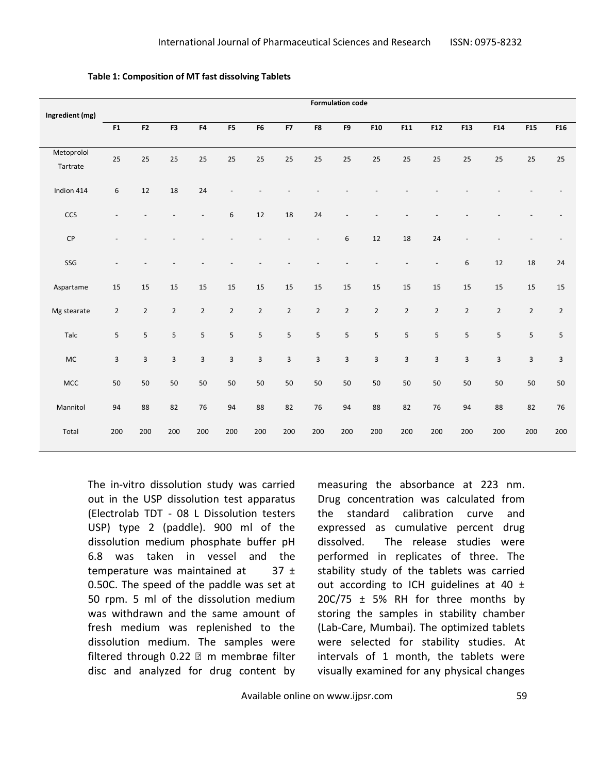|                        |                  | <b>Formulation code</b> |                |                |                         |                |                         |                |                |                         |                         |                          |                         |                |                 |                |
|------------------------|------------------|-------------------------|----------------|----------------|-------------------------|----------------|-------------------------|----------------|----------------|-------------------------|-------------------------|--------------------------|-------------------------|----------------|-----------------|----------------|
| Ingredient (mg)        |                  |                         |                |                |                         |                |                         |                |                |                         |                         |                          |                         |                |                 |                |
|                        | F1               | F <sub>2</sub>          | F3             | ${\sf F4}$     | F5                      | F6             | F7                      | F8             | F9             | F10                     | F11                     | F12                      | F13                     | F14            | F <sub>15</sub> | F16            |
| Metoprolol<br>Tartrate | 25               | 25                      | 25             | 25             | 25                      | 25             | 25                      | 25             | 25             | 25                      | 25                      | 25                       | 25                      | 25             | 25              | 25             |
| Indion 414             | $\boldsymbol{6}$ | 12                      | 18             | 24             |                         |                |                         |                |                |                         |                         |                          |                         |                |                 |                |
| <b>CCS</b>             |                  |                         |                |                | 6                       | 12             | 18                      | 24             |                |                         |                         |                          |                         |                |                 |                |
| CP                     |                  |                         |                |                |                         |                |                         |                | 6              | 12                      | 18                      | 24                       |                         |                |                 |                |
| SSG                    |                  |                         |                |                |                         |                |                         |                |                |                         |                         | $\overline{\phantom{a}}$ | 6                       | 12             | 18              | 24             |
| Aspartame              | 15               | 15                      | 15             | 15             | 15                      | 15             | 15                      | 15             | 15             | 15                      | 15                      | 15                       | $15\,$                  | 15             | 15              | 15             |
| Mg stearate            | $\overline{2}$   | $\overline{2}$          | $\overline{2}$ | $\overline{2}$ | $\overline{2}$          | $\overline{2}$ | $\overline{2}$          | $\overline{2}$ | $\overline{2}$ | $\overline{2}$          | $\overline{2}$          | $\overline{2}$           | $\overline{2}$          | $\overline{2}$ | $\overline{2}$  | $\overline{2}$ |
| Talc                   | 5                | 5                       | 5              | $\overline{5}$ | 5                       | 5              | 5                       | 5              | 5              | 5                       | 5                       | 5                        | 5                       | 5              | 5               | 5              |
| <b>MC</b>              | $\overline{3}$   | $\overline{3}$          | $\mathbf{3}$   | 3              | $\overline{\mathbf{3}}$ | 3              | $\overline{\mathbf{3}}$ | $\overline{3}$ | 3              | $\overline{\mathbf{3}}$ | $\overline{\mathbf{3}}$ | $\overline{3}$           | $\overline{\mathbf{3}}$ | 3              | $\overline{3}$  | 3              |
| MCC                    | $50\,$           | 50                      | 50             | 50             | 50                      | 50             | 50                      | 50             | 50             | 50                      | 50                      | 50                       | 50                      | $50\,$         | 50              | 50             |
| Mannitol               | 94               | 88                      | 82             | 76             | 94                      | 88             | 82                      | 76             | 94             | 88                      | 82                      | 76                       | 94                      | 88             | 82              | 76             |
| Total                  | 200              | 200                     | 200            | 200            | 200                     | 200            | 200                     | 200            | 200            | 200                     | 200                     | 200                      | 200                     | 200            | 200             | 200            |

**Table 1: Composition of MT fast dissolving Tablets**

The in-vitro dissolution study was carried out in the USP dissolution test apparatus (Electrolab TDT - 08 L Dissolution testers USP) type 2 (paddle). 900 ml of the dissolution medium phosphate buffer pH 6.8 was taken in vessel and the temperature was maintained at  $37 \pm$ 0.50C. The speed of the paddle was set at 50 rpm. 5 ml of the dissolution medium was withdrawn and the same amount of fresh medium was replenished to the dissolution medium. The samples were filtered through  $0.22$   $\textdegree$  m membrae filter disc and analyzed for drug content by measuring the absorbance at 223 nm. Drug concentration was calculated from the standard calibration curve and expressed as cumulative percent drug dissolved. The release studies were performed in replicates of three. The stability study of the tablets was carried out according to ICH guidelines at 40  $\pm$  $20C/75 \pm 5%$  RH for three months by storing the samples in stability chamber (Lab-Care, Mumbai). The optimized tablets were selected for stability studies. At intervals of 1 month, the tablets were visually examined for any physical changes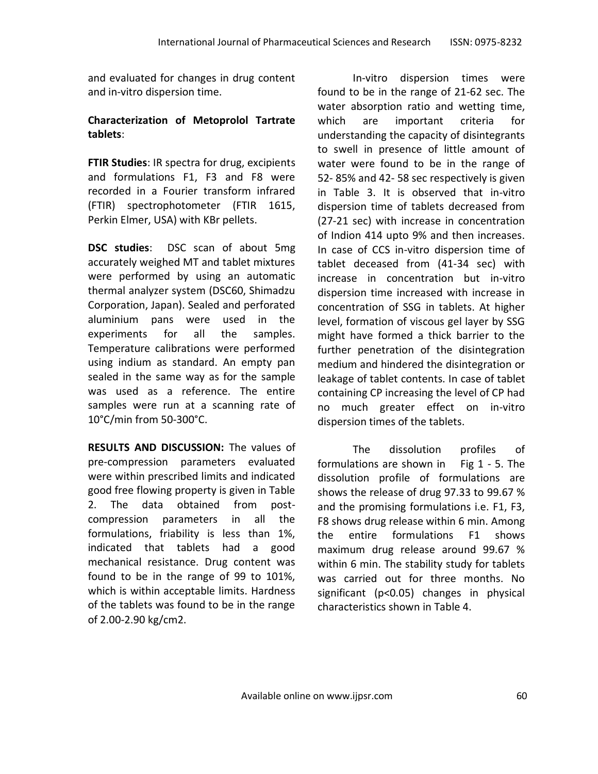and evaluated for changes in drug content and in-vitro dispersion time.

# **Characterization of Metoprolol Tartrate tablets**:

**FTIR Studies**: IR spectra for drug, excipients and formulations F1, F3 and F8 were recorded in a Fourier transform infrared (FTIR) spectrophotometer (FTIR 1615, Perkin Elmer, USA) with KBr pellets.

**DSC studies**: DSC scan of about 5mg accurately weighed MT and tablet mixtures were performed by using an automatic thermal analyzer system (DSC60, Shimadzu Corporation, Japan). Sealed and perforated aluminium pans were used in the experiments for all the samples. Temperature calibrations were performed using indium as standard. An empty pan sealed in the same way as for the sample was used as a reference. The entire samples were run at a scanning rate of 10°C/min from 50-300°C.

**RESULTS AND DISCUSSION:** The values of pre-compression parameters evaluated were within prescribed limits and indicated good free flowing property is given in Table 2. The data obtained from postcompression parameters in all the formulations, friability is less than 1%, indicated that tablets had a good mechanical resistance. Drug content was found to be in the range of 99 to 101%, which is within acceptable limits. Hardness of the tablets was found to be in the range of 2.00-2.90 kg/cm2.

In-vitro dispersion times were found to be in the range of 21-62 sec. The water absorption ratio and wetting time, which are important criteria for understanding the capacity of disintegrants to swell in presence of little amount of water were found to be in the range of 52- 85% and 42- 58 sec respectively is given in Table 3. It is observed that in-vitro dispersion time of tablets decreased from (27-21 sec) with increase in concentration of Indion 414 upto 9% and then increases. In case of CCS in-vitro dispersion time of tablet deceased from (41-34 sec) with increase in concentration but in-vitro dispersion time increased with increase in concentration of SSG in tablets. At higher level, formation of viscous gel layer by SSG might have formed a thick barrier to the further penetration of the disintegration medium and hindered the disintegration or leakage of tablet contents. In case of tablet containing CP increasing the level of CP had no much greater effect on in-vitro dispersion times of the tablets.

The dissolution profiles of formulations are shown in Fig 1 - 5. The dissolution profile of formulations are shows the release of drug 97.33 to 99.67 % and the promising formulations i.e. F1, F3, F8 shows drug release within 6 min. Among the entire formulations F1 shows maximum drug release around 99.67 % within 6 min. The stability study for tablets was carried out for three months. No significant (p<0.05) changes in physical characteristics shown in Table 4.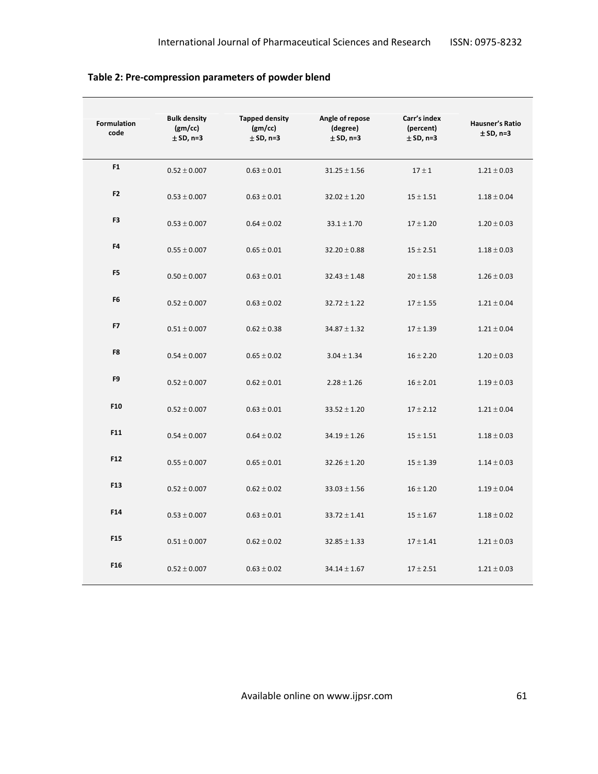| <b>Formulation</b><br>code | <b>Bulk density</b><br>(gm/cc)<br>$±$ SD, n=3 | <b>Tapped density</b><br>(gm/cc)<br>$±$ SD, n=3 | Angle of repose<br>(degree)<br>$±$ SD, n=3 | Carr's index<br>(percent)<br>$±$ SD, n=3 | <b>Hausner's Ratio</b><br>$±$ SD, n=3 |
|----------------------------|-----------------------------------------------|-------------------------------------------------|--------------------------------------------|------------------------------------------|---------------------------------------|
| F1                         | $0.52 \pm 0.007$                              | $0.63 \pm 0.01$                                 | $31.25 \pm 1.56$                           | $17 \pm 1$                               | $1.21 \pm 0.03$                       |
| F <sub>2</sub>             | $0.53 \pm 0.007$                              | $0.63 \pm 0.01$                                 | $32.02 \pm 1.20$                           | $15 \pm 1.51$                            | $1.18 \pm 0.04$                       |
| F <sub>3</sub>             | $0.53 \pm 0.007$                              | $0.64 \pm 0.02$                                 | $33.1 \pm 1.70$                            | $17 \pm 1.20$                            | $1.20 \pm 0.03$                       |
| F4                         | $0.55 \pm 0.007$                              | $0.65 \pm 0.01$                                 | $32.20 \pm 0.88$                           | $15 \pm 2.51$                            | $1.18 \pm 0.03$                       |
| F <sub>5</sub>             | $0.50 \pm 0.007$                              | $0.63 \pm 0.01$                                 | $32.43 \pm 1.48$                           | $20 \pm 1.58$                            | $1.26 \pm 0.03$                       |
| F <sub>6</sub>             | $0.52 \pm 0.007$                              | $0.63 \pm 0.02$                                 | $32.72 \pm 1.22$                           | $17 \pm 1.55$                            | $1.21 \pm 0.04$                       |
| F7                         | $0.51 \pm 0.007$                              | $0.62 \pm 0.38$                                 | $34.87 \pm 1.32$                           | $17 \pm 1.39$                            | $1.21 \pm 0.04$                       |
| F8                         | $0.54 \pm 0.007$                              | $0.65 \pm 0.02$                                 | $3.04 \pm 1.34$                            | $16 \pm 2.20$                            | $1.20 \pm 0.03$                       |
| F <sub>9</sub>             | $0.52 \pm 0.007$                              | $0.62 \pm 0.01$                                 | $2.28 \pm 1.26$                            | $16 \pm 2.01$                            | $1.19 \pm 0.03$                       |
| F10                        | $0.52 \pm 0.007$                              | $0.63 \pm 0.01$                                 | $33.52 \pm 1.20$                           | $17 \pm 2.12$                            | $1.21 \pm 0.04$                       |
| F11                        | $0.54 \pm 0.007$                              | $0.64 \pm 0.02$                                 | $34.19 \pm 1.26$                           | $15 \pm 1.51$                            | $1.18 \pm 0.03$                       |
| F12                        | $0.55 \pm 0.007$                              | $0.65 \pm 0.01$                                 | $32.26 \pm 1.20$                           | $15 \pm 1.39$                            | $1.14 \pm 0.03$                       |
| F <sub>13</sub>            | $0.52 \pm 0.007$                              | $0.62 \pm 0.02$                                 | $33.03 \pm 1.56$                           | $16 \pm 1.20$                            | $1.19 \pm 0.04$                       |
| F14                        | $0.53 \pm 0.007$                              | $0.63 \pm 0.01$                                 | $33.72 \pm 1.41$                           | $15 \pm 1.67$                            | $1.18 \pm 0.02$                       |
| F <sub>15</sub>            | $0.51 \pm 0.007$                              | $0.62 \pm 0.02$                                 | $32.85 \pm 1.33$                           | $17 \pm 1.41$                            | $1.21 \pm 0.03$                       |
| F <sub>16</sub>            | $0.52 \pm 0.007$                              | $0.63 \pm 0.02$                                 | $34.14 \pm 1.67$                           | $17 \pm 2.51$                            | $1.21 \pm 0.03$                       |

**Table 2: Pre-compression parameters of powder blend**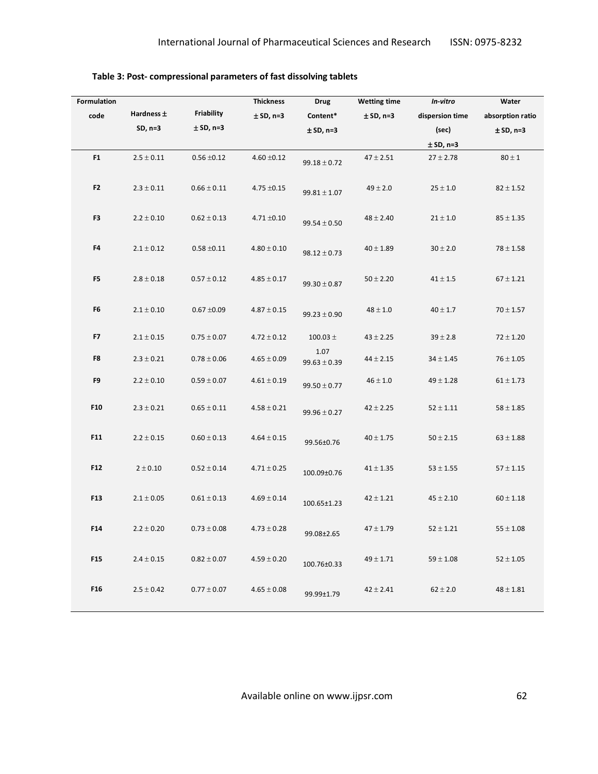| <b>Formulation</b> |                |                 | <b>Thickness</b> | <b>Drug</b>              | <b>Wetting time</b> | In-vitro        | Water            |
|--------------------|----------------|-----------------|------------------|--------------------------|---------------------|-----------------|------------------|
| code               | Hardness ±     | Friability      | $±$ SD, n=3      | Content*                 | $±$ SD, n=3         | dispersion time | absorption ratio |
|                    | $SD, n=3$      | $±$ SD, n=3     |                  | $±$ SD, n=3              |                     | (sec)           | $±$ SD, n=3      |
|                    |                |                 |                  |                          |                     | $±$ SD, n=3     |                  |
| F <sub>1</sub>     | $2.5\pm0.11$   | $0.56 \pm 0.12$ | $4.60 \pm 0.12$  | $99.18 \pm 0.72$         | $47\pm2.51$         | $27 \pm 2.78$   | $80 \pm 1$       |
| F <sub>2</sub>     | $2.3 \pm 0.11$ | $0.66 \pm 0.11$ | $4.75 \pm 0.15$  | $99.81 \pm 1.07$         | $49 \pm 2.0$        | $25 \pm 1.0$    | $82 \pm 1.52$    |
| F3                 | $2.2\pm0.10$   | $0.62 \pm 0.13$ | $4.71 \pm 0.10$  | $99.54 \pm 0.50$         | $48 \pm 2.40$       | $21\pm1.0$      | $85 \pm 1.35$    |
| F4                 | $2.1\pm0.12$   | $0.58 \pm 0.11$ | $4.80 \pm 0.10$  | $98.12 \pm 0.73$         | $40 \pm 1.89$       | $30\pm2.0$      | $78 \pm 1.58$    |
| F5                 | $2.8 \pm 0.18$ | $0.57 \pm 0.12$ | $4.85 \pm 0.17$  | $99.30 \pm 0.87$         | $50 \pm 2.20$       | $41 \pm 1.5$    | $67 \pm 1.21$    |
| F6                 | $2.1 \pm 0.10$ | $0.67 \pm 0.09$ | $4.87 \pm 0.15$  | $99.23 \pm 0.90$         | $48 \pm 1.0$        | $40 \pm 1.7$    | $70 \pm 1.57$    |
| F7                 | $2.1 \pm 0.15$ | $0.75 \pm 0.07$ | $4.72 \pm 0.12$  | 100.03 $\pm$             | $43 \pm 2.25$       | $39 \pm 2.8$    | $72 \pm 1.20$    |
| F8                 | $2.3 \pm 0.21$ | $0.78 \pm 0.06$ | $4.65 \pm 0.09$  | 1.07<br>$99.63 \pm 0.39$ | $44 \pm 2.15$       | $34 \pm 1.45$   | $76 \pm 1.05$    |
| F9                 | $2.2 \pm 0.10$ | $0.59 \pm 0.07$ | $4.61 \pm 0.19$  | $99.50 \pm 0.77$         | $46 \pm 1.0$        | $49 \pm 1.28$   | $61 \pm 1.73$    |
| F10                | $2.3 \pm 0.21$ | $0.65 \pm 0.11$ | $4.58 \pm 0.21$  | $99.96 \pm 0.27$         | $42 \pm 2.25$       | $52 \pm 1.11$   | $58 \pm 1.85$    |
| F11                | $2.2\pm0.15$   | $0.60 \pm 0.13$ | $4.64 \pm 0.15$  | 99.56±0.76               | $40 \pm 1.75$       | $50\pm2.15$     | $63 \pm 1.88$    |
| F12                | $2 \pm 0.10$   | $0.52 \pm 0.14$ | $4.71 \pm 0.25$  | 100.09±0.76              | $41 \pm 1.35$       | $53 \pm 1.55$   | $57 \pm 1.15$    |
| F13                | $2.1 \pm 0.05$ | $0.61 \pm 0.13$ | $4.69 \pm 0.14$  | 100.65±1.23              | $42 \pm 1.21$       | $45 \pm 2.10$   | $60 \pm 1.18$    |
| F14                | $2.2 \pm 0.20$ | $0.73 \pm 0.08$ | $4.73 \pm 0.28$  | 99.08±2.65               | $47 \pm 1.79$       | $52 \pm 1.21$   | $55 \pm 1.08$    |
| F15                | $2.4 \pm 0.15$ | $0.82\pm0.07$   | $4.59 \pm 0.20$  | 100.76±0.33              | $49 \pm 1.71$       | $59 \pm 1.08$   | $52 \pm 1.05$    |
| F16                | $2.5 \pm 0.42$ | $0.77 \pm 0.07$ | $4.65 \pm 0.08$  | 99.99±1.79               | $42 \pm 2.41$       | $62 \pm 2.0$    | $48 \pm 1.81$    |

**Table 3: Post- compressional parameters of fast dissolving tablets**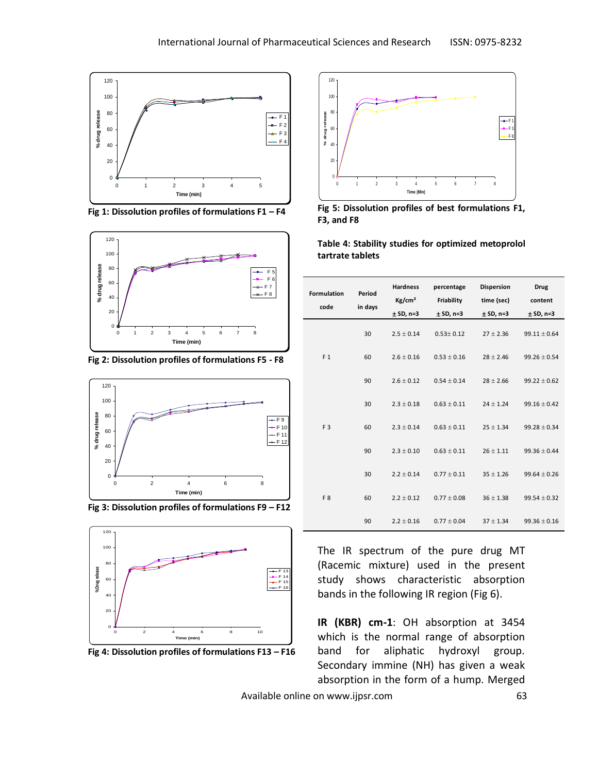

**Fig 1: Dissolution profiles of formulations F1 – F4**



**Fig 2: Dissolution profiles of formulations F5 - F8**



**Fig 3: Dissolution profiles of formulations F9 – F12**



**Fig 4: Dissolution profiles of formulations F13 – F16**



**Fig 5: Dissolution profiles of best formulations F1, F3, and F8**

**Table 4: Stability studies for optimized metoprolol tartrate tablets**

| <b>Formulation</b><br>code | Period<br>in days | <b>Hardness</b><br>Kg/cm <sup>2</sup><br>$± SD, n=3$ | percentage<br>Friability<br>$± SD, n=3$ | <b>Dispersion</b><br>time (sec)<br>$± SD, n=3$ | Drug<br>content<br>$± SD, n=3$ |
|----------------------------|-------------------|------------------------------------------------------|-----------------------------------------|------------------------------------------------|--------------------------------|
|                            | 30                | $2.5 \pm 0.14$                                       | $0.53 \pm 0.12$                         | $27 \pm 2.36$                                  | $99.11 \pm 0.64$               |
| F <sub>1</sub>             | 60                | $2.6 \pm 0.16$                                       | $0.53 \pm 0.16$                         | $28 \pm 2.46$                                  | $99.26 \pm 0.54$               |
|                            | 90                | $2.6 + 0.12$                                         | $0.54 \pm 0.14$                         | $28 \pm 2.66$                                  | $99.22 \pm 0.62$               |
|                            | 30                | $2.3 \pm 0.18$                                       | $0.63 + 0.11$                           | $24 + 1.24$                                    | $99.16 + 0.42$                 |
| F <sub>3</sub>             | 60                | $2.3 \pm 0.14$                                       | $0.63 + 0.11$                           | $25 \pm 1.34$                                  | $99.28 \pm 0.34$               |
|                            | 90                | $2.3 \pm 0.10$                                       | $0.63 \pm 0.11$                         | $26 \pm 1.11$                                  | $99.36 \pm 0.44$               |
|                            | 30                | $2.2 \pm 0.14$                                       | $0.77 \pm 0.11$                         | $35 \pm 1.26$                                  | $99.64 \pm 0.26$               |
| F <sub>8</sub>             | 60                | $2.2 \pm 0.12$                                       | $0.77 \pm 0.08$                         | $36 \pm 1.38$                                  | $99.54 \pm 0.32$               |
|                            | 90                | $2.2 \pm 0.16$                                       | $0.77 \pm 0.04$                         | $37 \pm 1.34$                                  | $99.36 \pm 0.16$               |

The IR spectrum of the pure drug MT (Racemic mixture) used in the present study shows characteristic absorption bands in the following IR region (Fig 6).

**IR (KBR) cm-1**: OH absorption at 3454 which is the normal range of absorption band for aliphatic hydroxyl group. Secondary immine (NH) has given a weak absorption in the form of a hump. Merged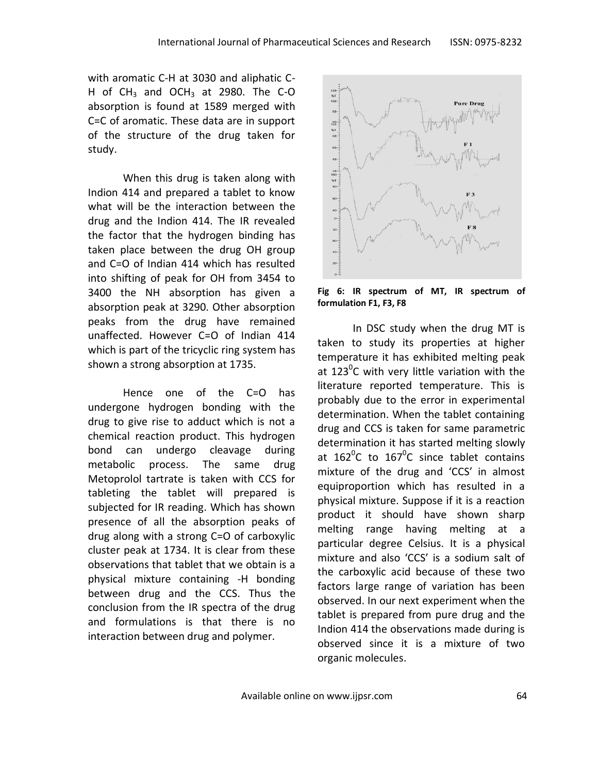with aromatic C-H at 3030 and aliphatic C-H of CH<sub>3</sub> and OCH<sub>3</sub> at 2980. The C-O absorption is found at 1589 merged with C=C of aromatic. These data are in support of the structure of the drug taken for study.

When this drug is taken along with Indion 414 and prepared a tablet to know what will be the interaction between the drug and the Indion 414. The IR revealed the factor that the hydrogen binding has taken place between the drug OH group and C=O of Indian 414 which has resulted into shifting of peak for OH from 3454 to 3400 the NH absorption has given a absorption peak at 3290. Other absorption peaks from the drug have remained unaffected. However C=O of Indian 414 which is part of the tricyclic ring system has shown a strong absorption at 1735.

Hence one of the C=O has undergone hydrogen bonding with the drug to give rise to adduct which is not a chemical reaction product. This hydrogen bond can undergo cleavage during metabolic process. The same drug Metoprolol tartrate is taken with CCS for tableting the tablet will prepared is subjected for IR reading. Which has shown presence of all the absorption peaks of drug along with a strong C=O of carboxylic cluster peak at 1734. It is clear from these observations that tablet that we obtain is a physical mixture containing -H bonding between drug and the CCS. Thus the conclusion from the IR spectra of the drug and formulations is that there is no interaction between drug and polymer.



**Fig 6: IR spectrum of MT, IR spectrum of formulation F1, F3, F8**

In DSC study when the drug MT is taken to study its properties at higher temperature it has exhibited melting peak at 123<sup>0</sup>C with very little variation with the literature reported temperature. This is probably due to the error in experimental determination. When the tablet containing drug and CCS is taken for same parametric determination it has started melting slowly at  $162^{\circ}$ C to  $167^{\circ}$ C since tablet contains mixture of the drug and 'CCS' in almost equiproportion which has resulted in a physical mixture. Suppose if it is a reaction product it should have shown sharp melting range having melting at a particular degree Celsius. It is a physical mixture and also 'CCS' is a sodium salt of the carboxylic acid because of these two factors large range of variation has been observed. In our next experiment when the tablet is prepared from pure drug and the Indion 414 the observations made during is observed since it is a mixture of two organic molecules.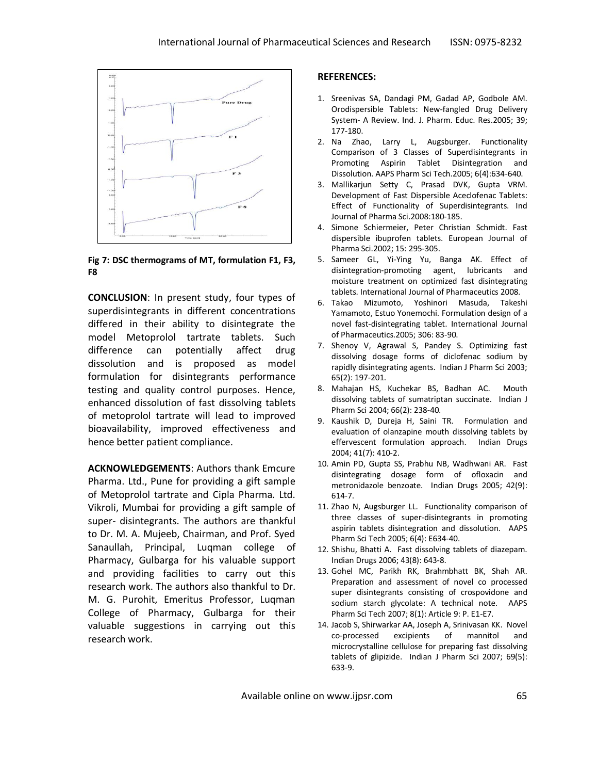

**Fig 7: DSC thermograms of MT, formulation F1, F3, F8**

**CONCLUSION**: In present study, four types of superdisintegrants in different concentrations differed in their ability to disintegrate the model Metoprolol tartrate tablets. Such difference can potentially affect drug dissolution and is proposed as model formulation for disintegrants performance testing and quality control purposes. Hence, enhanced dissolution of fast dissolving tablets of metoprolol tartrate will lead to improved bioavailability, improved effectiveness and hence better patient compliance.

**ACKNOWLEDGEMENTS**: Authors thank Emcure Pharma. Ltd., Pune for providing a gift sample of Metoprolol tartrate and Cipla Pharma. Ltd. Vikroli, Mumbai for providing a gift sample of super- disintegrants. The authors are thankful to Dr. M. A. Mujeeb, Chairman, and Prof. Syed Sanaullah, Principal, Luqman college of Pharmacy, Gulbarga for his valuable support and providing facilities to carry out this research work. The authors also thankful to Dr. M. G. Purohit, Emeritus Professor, Luqman College of Pharmacy, Gulbarga for their valuable suggestions in carrying out this research work.

## **REFERENCES:**

- 1. Sreenivas SA, Dandagi PM, Gadad AP, Godbole AM. Orodispersible Tablets: New-fangled Drug Delivery System- A Review. Ind. J. Pharm. Educ. Res.2005; 39; 177-180.
- 2. Na Zhao, Larry L, Augsburger. Functionality Comparison of 3 Classes of Superdisintegrants in Promoting Aspirin Tablet Disintegration and Dissolution. AAPS Pharm Sci Tech.2005; 6(4):634-640.
- 3. Mallikarjun Setty C, Prasad DVK, Gupta VRM. Development of Fast Dispersible Aceclofenac Tablets: Effect of Functionality of Superdisintegrants. Ind Journal of Pharma Sci.2008:180-185.
- 4. Simone Schiermeier, Peter Christian Schmidt. Fast dispersible ibuprofen tablets. European Journal of Pharma Sci.2002; 15: 295-305.
- 5. Sameer GL, Yi-Ying Yu, Banga AK. Effect of disintegration-promoting agent, lubricants and moisture treatment on optimized fast disintegrating tablets. International Journal of Pharmaceutics 2008.
- 6. Takao Mizumoto, Yoshinori Masuda, Takeshi Yamamoto, Estuo Yonemochi. Formulation design of a novel fast-disintegrating tablet. International Journal of Pharmaceutics.2005; 306: 83-90.
- 7. Shenoy V, Agrawal S, Pandey S. Optimizing fast dissolving dosage forms of diclofenac sodium by rapidly disintegrating agents. Indian J Pharm Sci 2003; 65(2): 197-201.
- 8. Mahajan HS, Kuchekar BS, Badhan AC. Mouth dissolving tablets of sumatriptan succinate. Indian J Pharm Sci 2004; 66(2): 238-40.
- 9. Kaushik D, Dureja H, Saini TR. Formulation and evaluation of olanzapine mouth dissolving tablets by effervescent formulation approach. Indian Drugs 2004; 41(7): 410-2.
- 10. Amin PD, Gupta SS, Prabhu NB, Wadhwani AR. Fast disintegrating dosage form of ofloxacin and metronidazole benzoate. Indian Drugs 2005; 42(9): 614-7.
- 11. Zhao N, Augsburger LL. Functionality comparison of three classes of super-disintegrants in promoting aspirin tablets disintegration and dissolution. AAPS Pharm Sci Tech 2005; 6(4): E634-40.
- 12. Shishu, Bhatti A. Fast dissolving tablets of diazepam. Indian Drugs 2006; 43(8): 643-8.
- 13. Gohel MC, Parikh RK, Brahmbhatt BK, Shah AR. Preparation and assessment of novel co processed super disintegrants consisting of crospovidone and sodium starch glycolate: A technical note. AAPS Pharm Sci Tech 2007; 8(1): Article 9: P. E1-E7.
- 14. Jacob S, Shirwarkar AA, Joseph A, Srinivasan KK. Novel co-processed excipients of mannitol and microcrystalline cellulose for preparing fast dissolving tablets of glipizide. Indian J Pharm Sci 2007; 69(5): 633-9.